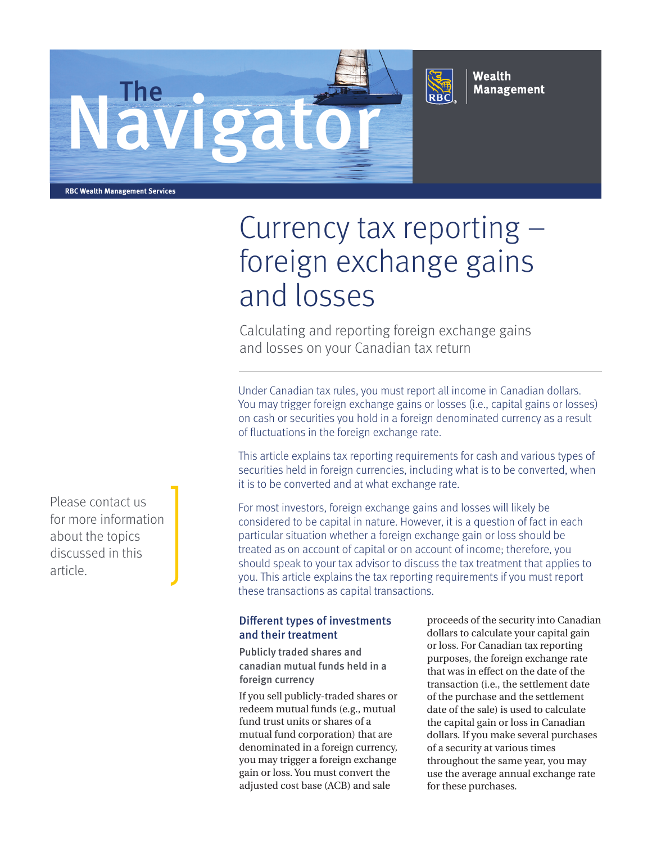



Wealth **Management** 

**RBC Wealth Management Services**

# Currency tax reporting – foreign exchange gains and losses

Calculating and reporting foreign exchange gains and losses on your Canadian tax return

Under Canadian tax rules, you must report all income in Canadian dollars. You may trigger foreign exchange gains or losses (i.e., capital gains or losses) on cash or securities you hold in a foreign denominated currency as a result of fluctuations in the foreign exchange rate.

This article explains tax reporting requirements for cash and various types of securities held in foreign currencies, including what is to be converted, when it is to be converted and at what exchange rate.

For most investors, foreign exchange gains and losses will likely be considered to be capital in nature. However, it is a question of fact in each particular situation whether a foreign exchange gain or loss should be treated as on account of capital or on account of income; therefore, you should speak to your tax advisor to discuss the tax treatment that applies to you. This article explains the tax reporting requirements if you must report these transactions as capital transactions.

# Different types of investments and their treatment

Publicly traded shares and canadian mutual funds held in a foreign currency

If you sell publicly-traded shares or redeem mutual funds (e.g., mutual fund trust units or shares of a mutual fund corporation) that are denominated in a foreign currency, you may trigger a foreign exchange gain or loss. You must convert the adjusted cost base (ACB) and sale

proceeds of the security into Canadian dollars to calculate your capital gain or loss. For Canadian tax reporting purposes, the foreign exchange rate that was in effect on the date of the transaction (i.e., the settlement date of the purchase and the settlement date of the sale) is used to calculate the capital gain or loss in Canadian dollars. If you make several purchases of a security at various times throughout the same year, you may use the average annual exchange rate for these purchases.

Please contact us for more information about the topics discussed in this article.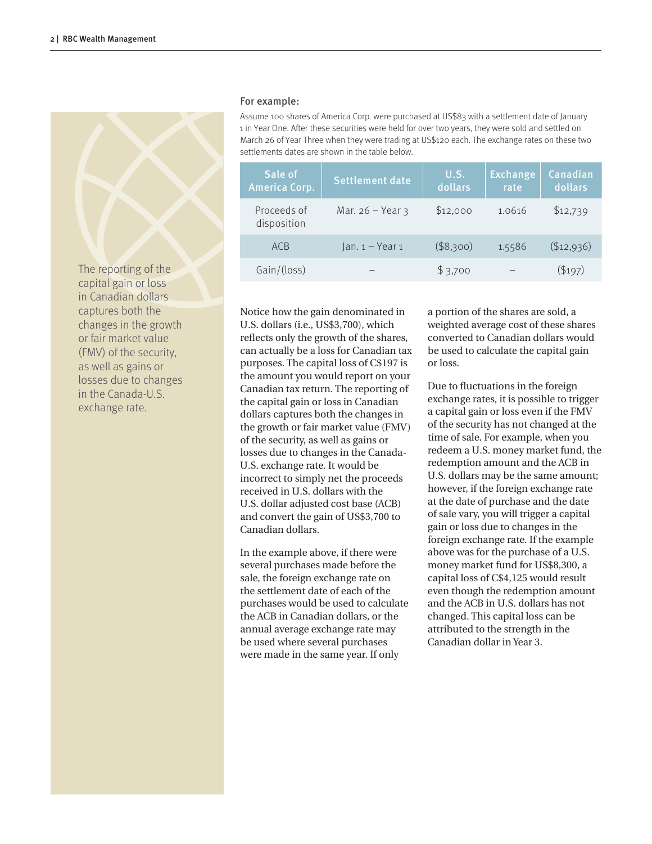The reporting of the capital gain or loss in Canadian dollars captures both the changes in the growth or fair market value (FMV) of the security, as well as gains or losses due to changes in the Canada-U.S. exchange rate.

#### For example:

Assume 100 shares of America Corp. were purchased at US\$83 with a settlement date of January 1 in Year One. After these securities were held for over two years, they were sold and settled on March 26 of Year Three when they were trading at US\$120 each. The exchange rates on these two settlements dates are shown in the table below.

| Sale of<br><b>America Corp.</b> | <b>Settlement date</b> | U.S.<br>dollars | <b>Exchange</b><br>rate | Canadian<br>dollars |
|---------------------------------|------------------------|-----------------|-------------------------|---------------------|
| Proceeds of<br>disposition      | Mar. $26 - Year$ 3     | \$12,000        | 1.0616                  | \$12,739            |
| <b>ACB</b>                      | $lan. 1 - Year 1$      | (\$8,300)       | 1.5586                  | $(\$12,936)$        |
| Gain/(loss)                     |                        | \$3,700         |                         | $(\$197)$           |

Notice how the gain denominated in U.S. dollars (i.e., US\$3,700), which reflects only the growth of the shares, can actually be a loss for Canadian tax purposes. The capital loss of C\$197 is the amount you would report on your Canadian tax return. The reporting of the capital gain or loss in Canadian dollars captures both the changes in the growth or fair market value (FMV) of the security, as well as gains or losses due to changes in the Canada-U.S. exchange rate. It would be incorrect to simply net the proceeds received in U.S. dollars with the U.S. dollar adjusted cost base (ACB) and convert the gain of US\$3,700 to Canadian dollars.

In the example above, if there were several purchases made before the sale, the foreign exchange rate on the settlement date of each of the purchases would be used to calculate the ACB in Canadian dollars, or the annual average exchange rate may be used where several purchases were made in the same year. If only

a portion of the shares are sold, a weighted average cost of these shares converted to Canadian dollars would be used to calculate the capital gain or loss.

Due to fluctuations in the foreign exchange rates, it is possible to trigger a capital gain or loss even if the FMV of the security has not changed at the time of sale. For example, when you redeem a U.S. money market fund, the redemption amount and the ACB in U.S. dollars may be the same amount; however, if the foreign exchange rate at the date of purchase and the date of sale vary, you will trigger a capital gain or loss due to changes in the foreign exchange rate. If the example above was for the purchase of a U.S. money market fund for US\$8,300, a capital loss of C\$4,125 would result even though the redemption amount and the ACB in U.S. dollars has not changed. This capital loss can be attributed to the strength in the Canadian dollar in Year 3.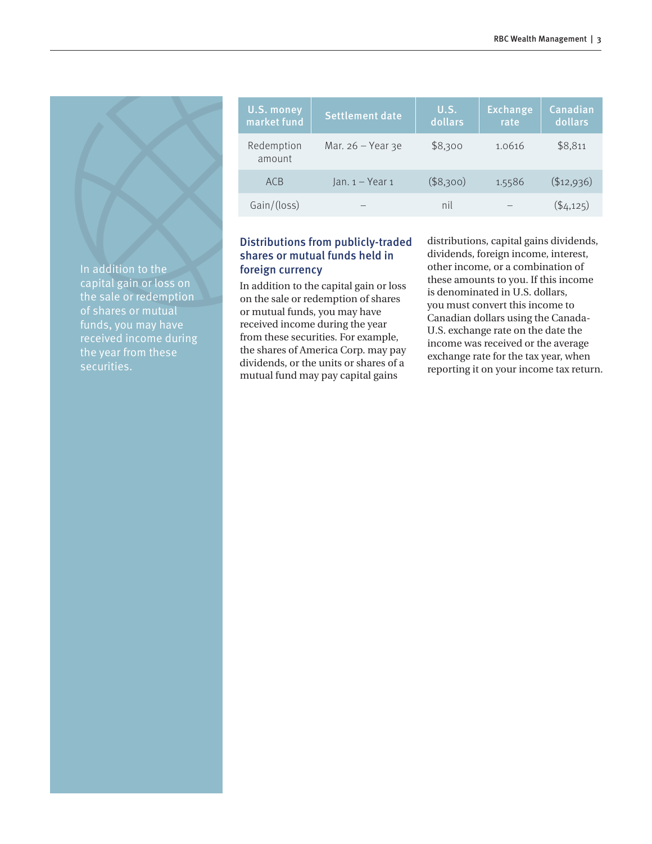| <b>U.S. money</b><br>market fund | <b>Settlement date</b> | U.S.<br>dollars | <b>Exchange</b><br>rate | Canadian<br>dollars |
|----------------------------------|------------------------|-----------------|-------------------------|---------------------|
| Redemption<br>amount             | Mar. $26 - Year$ 3e    | \$8,300         | 1.0616                  | \$8.811             |
| <b>ACB</b>                       | $lan. 1 - Year 1$      | (\$8,300)       | 1.5586                  | ( \$12,936)         |
| Gain/(loss)                      |                        | nil             |                         | $($ \$4,125)        |

# Distributions from publicly-traded shares or mutual funds held in foreign currency

In addition to the capital gain or loss on the sale or redemption of shares or mutual funds, you may have received income during the year from these securities. For example, the shares of America Corp. may pay dividends, or the units or shares of a mutual fund may pay capital gains

distributions, capital gains dividends, dividends, foreign income, interest, other income, or a combination of these amounts to you. If this income is denominated in U.S. dollars, you must convert this income to Canadian dollars using the Canada-U.S. exchange rate on the date the income was received or the average exchange rate for the tax year, when reporting it on your income tax return.

In addition to the capital gain or loss on the sale or redemption received income during securities.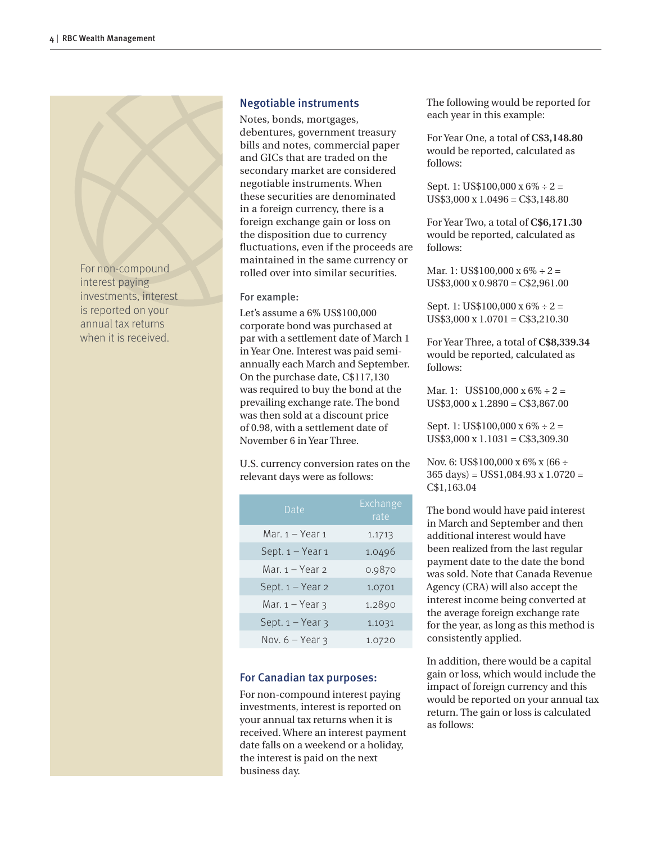For non-compound interest paying investments, interest is reported on your annual tax returns when it is received.

# Negotiable instruments

Notes, bonds, mortgages, debentures, government treasury bills and notes, commercial paper and GICs that are traded on the secondary market are considered negotiable instruments. When these securities are denominated in a foreign currency, there is a foreign exchange gain or loss on the disposition due to currency fluctuations, even if the proceeds are maintained in the same currency or rolled over into similar securities.

## For example:

Let's assume a 6% US\$100,000 corporate bond was purchased at par with a settlement date of March 1 in Year One. Interest was paid semiannually each March and September. On the purchase date, C\$117,130 was required to buy the bond at the prevailing exchange rate. The bond was then sold at a discount price of 0.98, with a settlement date of November 6 in Year Three.

U.S. currency conversion rates on the relevant days were as follows:

| Date                 | Exchange<br>rate |
|----------------------|------------------|
| Mar. 1 - Year 1      | 1.1713           |
| Sept. 1 - Year 1     | 1.0496           |
| Mar. 1 - Year 2      | 0.9870           |
| Sept. 1 - Year 2     | 1.0701           |
| Mar. $1 -$ Year $3$  | 1.2890           |
| Sept. $1 -$ Year $3$ | 1.1031           |
| Nov. $6 - Year$ 3    | 1.0720           |

# For Canadian tax purposes:

For non-compound interest paying investments, interest is reported on your annual tax returns when it is received. Where an interest payment date falls on a weekend or a holiday, the interest is paid on the next business day.

The following would be reported for each year in this example:

For Year One, a total of **C\$3,148.80**  would be reported, calculated as follows:

Sept. 1: US\$100,000 x 6% ÷ 2 = US\$3,000 x 1.0496 = C\$3,148.80

For Year Two, a total of **C\$6,171.30**  would be reported, calculated as follows:

Mar. 1: US\$100,000  $x 6\% \div 2 =$ US\$3,000 x 0.9870 = C\$2,961.00

Sept. 1: US\$100,000  $x 6\% \div 2 =$  $US$3,000 \times 1.0701 = C$3,210.30$ 

For Year Three, a total of **C\$8,339.34**  would be reported, calculated as follows:

Mar. 1: US\$100,000 x  $6\% \div 2 =$ US\$3,000 x 1.2890 = C\$3,867.00

Sept. 1: US\$100,000  $x 6\% \div 2 =$ US\$3,000 x 1.1031 = C\$3,309.30

Nov. 6: US\$100,000 x 6% x (66 ÷ 365 days) = US\$1,084.93 x 1.0720 = C\$1,163.04

The bond would have paid interest in March and September and then additional interest would have been realized from the last regular payment date to the date the bond was sold. Note that Canada Revenue Agency (CRA) will also accept the interest income being converted at the average foreign exchange rate for the year, as long as this method is consistently applied.

In addition, there would be a capital gain or loss, which would include the impact of foreign currency and this would be reported on your annual tax return. The gain or loss is calculated as follows: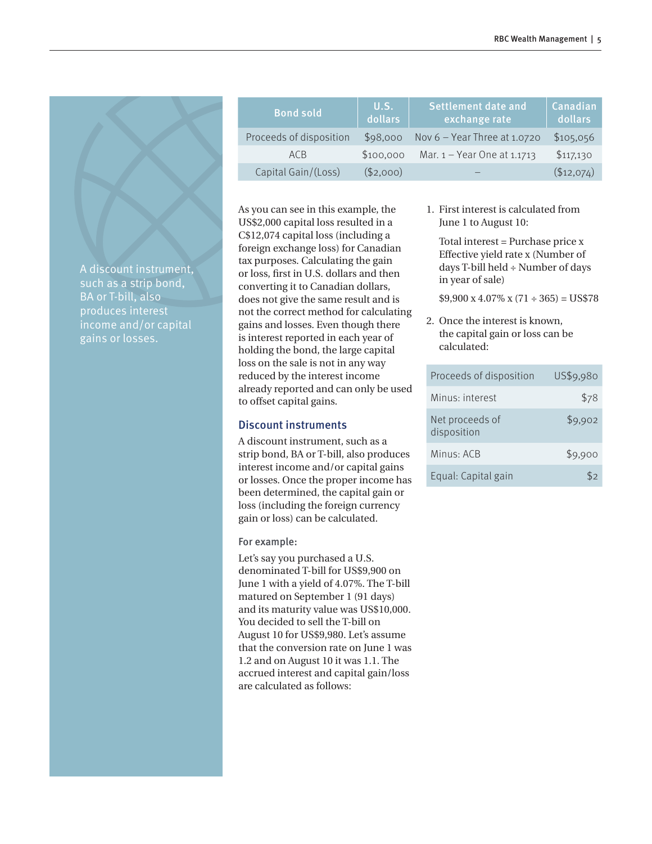| <b>Bond sold</b>        | U.S.<br>dollars | Settlement date and<br>exchange rate | Canadian<br>dollars |
|-------------------------|-----------------|--------------------------------------|---------------------|
| Proceeds of disposition | \$98,000        | Nov $6$ – Year Three at 1.0720       | \$105,056           |
| AC <sub>B</sub>         | \$100,000       | Mar. $1 -$ Year One at 1.1713        | \$117,130           |
| Capital Gain/(Loss)     | (\$2,000)       |                                      | (\$12,074)          |

1. First interest is calculated from June 1 to August 10:

Total interest = Purchase price x Effective yield rate x (Number of days T-bill held ÷ Number of days in year of sale)

 $$9,900 \times 4.07\% \times (71 \div 365) = US$78$ 

2. Once the interest is known, the capital gain or loss can be calculated:

| Proceeds of disposition        | US\$9,980 |
|--------------------------------|-----------|
| Minus: interest                | \$78      |
| Net proceeds of<br>disposition | \$9,902   |
| Minus: ACB                     | \$9,900   |
| Equal: Capital gain            | ٢2        |

A discount instrument, such as a strip bond, BA or T-bill, also income and/or capital gains or losses.

## Discount instruments

to offset capital gains.

A discount instrument, such as a strip bond, BA or T-bill, also produces interest income and/or capital gains or losses. Once the proper income has been determined, the capital gain or loss (including the foreign currency gain or loss) can be calculated.

As you can see in this example, the US\$2,000 capital loss resulted in a C\$12,074 capital loss (including a foreign exchange loss) for Canadian tax purposes. Calculating the gain or loss, first in U.S. dollars and then converting it to Canadian dollars, does not give the same result and is not the correct method for calculating gains and losses. Even though there is interest reported in each year of holding the bond, the large capital loss on the sale is not in any way reduced by the interest income already reported and can only be used

#### For example:

Let's say you purchased a U.S. denominated T-bill for US\$9,900 on June 1 with a yield of 4.07%. The T-bill matured on September 1 (91 days) and its maturity value was US\$10,000. You decided to sell the T-bill on August 10 for US\$9,980. Let's assume that the conversion rate on June 1 was 1.2 and on August 10 it was 1.1. The accrued interest and capital gain/loss are calculated as follows: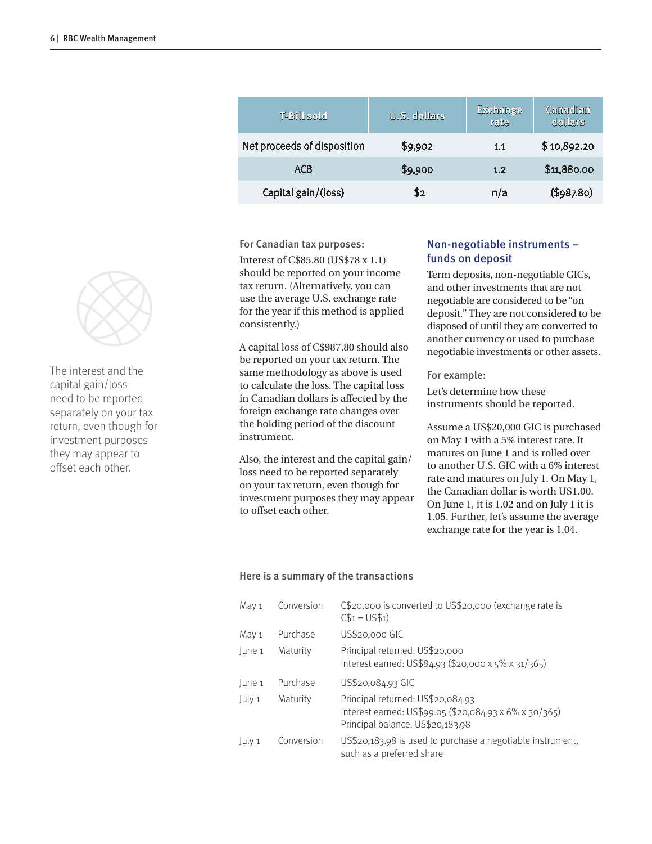| T-Bill sold                 | U.S. dollars | <b>Exchange</b><br>rate | Canadian<br>dollars |
|-----------------------------|--------------|-------------------------|---------------------|
| Net proceeds of disposition | \$9,902      | 1.1                     | \$10,892.20         |
| <b>ACB</b>                  | \$9,900      | 1.2                     | \$11,880.00         |
| Capital gain/(loss)         | 82           | n/a                     | (\$987.80)          |

For Canadian tax purposes:

Interest of C\$85.80 (US\$78 x 1.1) should be reported on your income tax return. (Alternatively, you can use the average U.S. exchange rate for the year if this method is applied consistently.)

A capital loss of C\$987.80 should also be reported on your tax return. The same methodology as above is used to calculate the loss. The capital loss in Canadian dollars is affected by the foreign exchange rate changes over the holding period of the discount instrument.

Also, the interest and the capital gain/ loss need to be reported separately on your tax return, even though for investment purposes they may appear to offset each other.

## Non-negotiable instruments – funds on deposit

Term deposits, non-negotiable GICs, and other investments that are not negotiable are considered to be "on deposit." They are not considered to be disposed of until they are converted to another currency or used to purchase negotiable investments or other assets.

For example:

Let's determine how these instruments should be reported.

Assume a US\$20,000 GIC is purchased on May 1 with a 5% interest rate. It matures on June 1 and is rolled over to another U.S. GIC with a 6% interest rate and matures on July 1. On May 1, the Canadian dollar is worth US1.00. On June 1, it is 1.02 and on July 1 it is 1.05. Further, let's assume the average exchange rate for the year is 1.04.

## Here is a summary of the transactions

| May 1  | Conversion | C\$20,000 is converted to US\$20,000 (exchange rate is<br>$CS_1 = US5_1$                                                        |
|--------|------------|---------------------------------------------------------------------------------------------------------------------------------|
| May 1  | Purchase   | US\$20,000 GIC                                                                                                                  |
| June 1 | Maturity   | Principal returned: US\$20,000<br>Interest earned: US\$84.93 (\$20,000 x 5% x 31/365)                                           |
| June 1 | Purchase   | US\$20,084.93 GIC                                                                                                               |
| July 1 | Maturity   | Principal returned: US\$20,084.93<br>Interest earned: US\$99.05 (\$20,084.93 x 6% x 30/365)<br>Principal balance: US\$20,183.98 |
| July 1 | Conversion | US\$20,183.98 is used to purchase a negotiable instrument,<br>such as a preferred share                                         |



The interest and the capital gain/loss need to be reported separately on your tax return, even though for investment purposes they may appear to offset each other.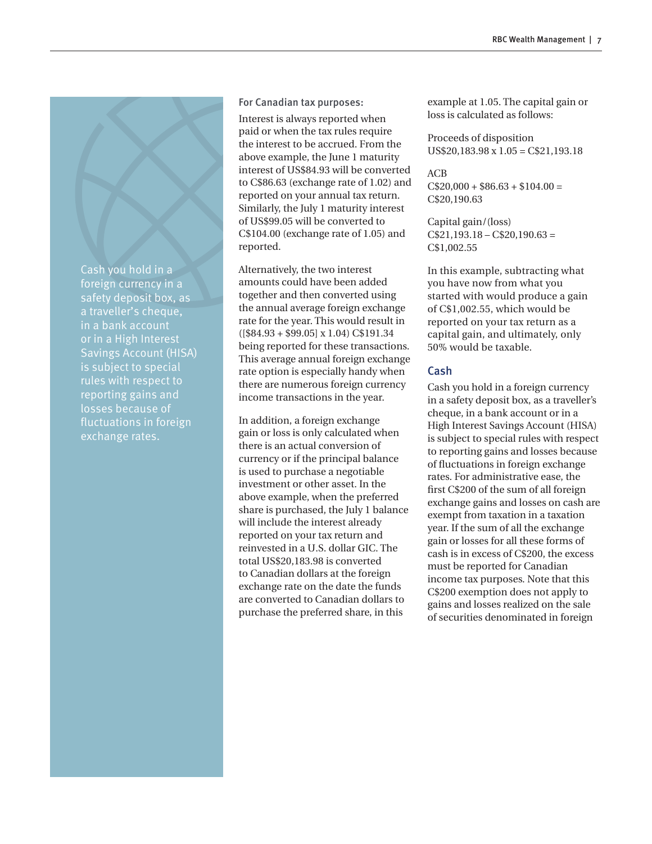Cash you hold in a foreign currency in a safety deposit box, as a traveller's cheque, in a bank account or in a High Interest Savings Account (HISA) is subject to special rules with respect to reporting gains and losses because of fluctuations in foreign exchange rates.

#### For Canadian tax purposes:

Interest is always reported when paid or when the tax rules require the interest to be accrued. From the above example, the June 1 maturity interest of US\$84.93 will be converted to C\$86.63 (exchange rate of 1.02) and reported on your annual tax return. Similarly, the July 1 maturity interest of US\$99.05 will be converted to C\$104.00 (exchange rate of 1.05) and reported.

Alternatively, the two interest amounts could have been added together and then converted using the annual average foreign exchange rate for the year. This would result in ([\$84.93 + \$99.05] x 1.04) C\$191.34 being reported for these transactions. This average annual foreign exchange rate option is especially handy when there are numerous foreign currency income transactions in the year.

In addition, a foreign exchange gain or loss is only calculated when there is an actual conversion of currency or if the principal balance is used to purchase a negotiable investment or other asset. In the above example, when the preferred share is purchased, the July 1 balance will include the interest already reported on your tax return and reinvested in a U.S. dollar GIC. The total US\$20,183.98 is converted to Canadian dollars at the foreign exchange rate on the date the funds are converted to Canadian dollars to purchase the preferred share, in this

example at 1.05. The capital gain or loss is calculated as follows:

Proceeds of disposition US\$20,183.98 x 1.05 = C\$21,193.18

ACB  $C$20,000 + $86.63 + $104.00 =$ C\$20,190.63

Capital gain/(loss)  $C$21,193.18 - C$20,190.63 =$ C\$1,002.55

In this example, subtracting what you have now from what you started with would produce a gain of C\$1,002.55, which would be reported on your tax return as a capital gain, and ultimately, only 50% would be taxable.

## Cash

Cash you hold in a foreign currency in a safety deposit box, as a traveller's cheque, in a bank account or in a High Interest Savings Account (HISA) is subject to special rules with respect to reporting gains and losses because of fluctuations in foreign exchange rates. For administrative ease, the first C\$200 of the sum of all foreign exchange gains and losses on cash are exempt from taxation in a taxation year. If the sum of all the exchange gain or losses for all these forms of cash is in excess of C\$200, the excess must be reported for Canadian income tax purposes. Note that this C\$200 exemption does not apply to gains and losses realized on the sale of securities denominated in foreign